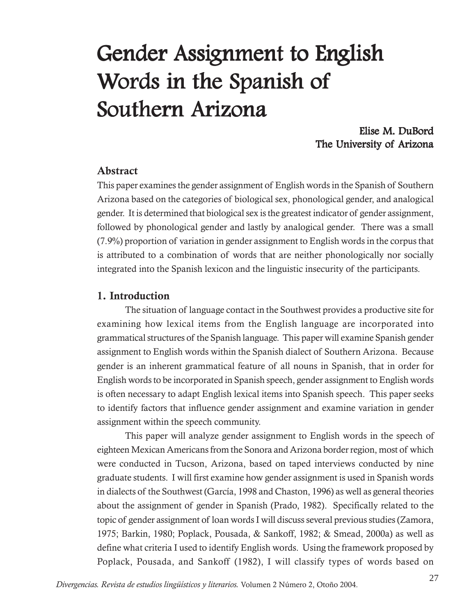# Gender Assignment to English Words in the Spanish of Southern Arizona

# Elise M. DuBord The University of Arizona

## **Abstract**

This paper examines the gender assignment of English words in the Spanish of Southern Arizona based on the categories of biological sex, phonological gender, and analogical gender. It is determined that biological sex is the greatest indicator of gender assignment, followed by phonological gender and lastly by analogical gender. There was a small (7.9%) proportion of variation in gender assignment to English words in the corpus that is attributed to a combination of words that are neither phonologically nor socially integrated into the Spanish lexicon and the linguistic insecurity of the participants.

## **1. Introduction**

The situation of language contact in the Southwest provides a productive site for examining how lexical items from the English language are incorporated into grammatical structures of the Spanish language. This paper will examine Spanish gender assignment to English words within the Spanish dialect of Southern Arizona. Because gender is an inherent grammatical feature of all nouns in Spanish, that in order for English words to be incorporated in Spanish speech, gender assignment to English words is often necessary to adapt English lexical items into Spanish speech. This paper seeks to identify factors that influence gender assignment and examine variation in gender assignment within the speech community.

This paper will analyze gender assignment to English words in the speech of eighteen Mexican Americans from the Sonora and Arizona border region, most of which were conducted in Tucson, Arizona, based on taped interviews conducted by nine graduate students. I will first examine how gender assignment is used in Spanish words in dialects of the Southwest (García, 1998 and Chaston, 1996) as well as general theories about the assignment of gender in Spanish (Prado, 1982). Specifically related to the topic of gender assignment of loan words I will discuss several previous studies (Zamora, 1975; Barkin, 1980; Poplack, Pousada, & Sankoff, 1982; & Smead, 2000a) as well as define what criteria I used to identify English words. Using the framework proposed by Poplack, Pousada, and Sankoff (1982), I will classify types of words based on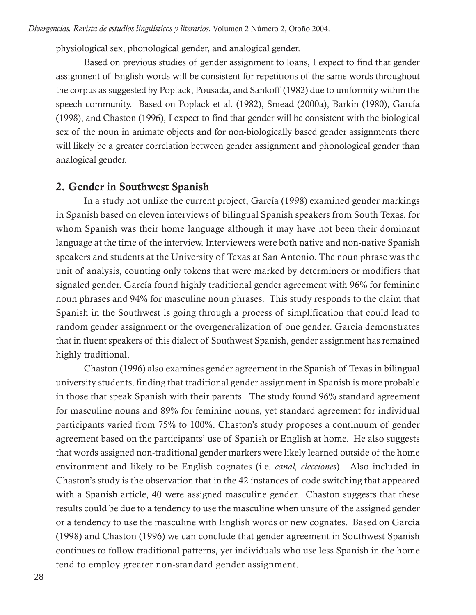physiological sex, phonological gender, and analogical gender.

Based on previous studies of gender assignment to loans, I expect to find that gender assignment of English words will be consistent for repetitions of the same words throughout the corpus as suggested by Poplack, Pousada, and Sankoff (1982) due to uniformity within the speech community. Based on Poplack et al. (1982), Smead (2000a), Barkin (1980), García (1998), and Chaston (1996), I expect to find that gender will be consistent with the biological sex of the noun in animate objects and for non-biologically based gender assignments there will likely be a greater correlation between gender assignment and phonological gender than analogical gender.

### **2. Gender in Southwest Spanish**

In a study not unlike the current project, García (1998) examined gender markings in Spanish based on eleven interviews of bilingual Spanish speakers from South Texas, for whom Spanish was their home language although it may have not been their dominant language at the time of the interview. Interviewers were both native and non-native Spanish speakers and students at the University of Texas at San Antonio. The noun phrase was the unit of analysis, counting only tokens that were marked by determiners or modifiers that signaled gender. García found highly traditional gender agreement with 96% for feminine noun phrases and 94% for masculine noun phrases. This study responds to the claim that Spanish in the Southwest is going through a process of simplification that could lead to random gender assignment or the overgeneralization of one gender. García demonstrates that in fluent speakers of this dialect of Southwest Spanish, gender assignment has remained highly traditional.

Chaston (1996) also examines gender agreement in the Spanish of Texas in bilingual university students, finding that traditional gender assignment in Spanish is more probable in those that speak Spanish with their parents. The study found 96% standard agreement for masculine nouns and 89% for feminine nouns, yet standard agreement for individual participants varied from 75% to 100%. Chaston's study proposes a continuum of gender agreement based on the participants' use of Spanish or English at home. He also suggests that words assigned non-traditional gender markers were likely learned outside of the home environment and likely to be English cognates (i.e. *canal, elecciones*). Also included in Chaston's study is the observation that in the 42 instances of code switching that appeared with a Spanish article, 40 were assigned masculine gender. Chaston suggests that these results could be due to a tendency to use the masculine when unsure of the assigned gender or a tendency to use the masculine with English words or new cognates. Based on García (1998) and Chaston (1996) we can conclude that gender agreement in Southwest Spanish continues to follow traditional patterns, yet individuals who use less Spanish in the home tend to employ greater non-standard gender assignment.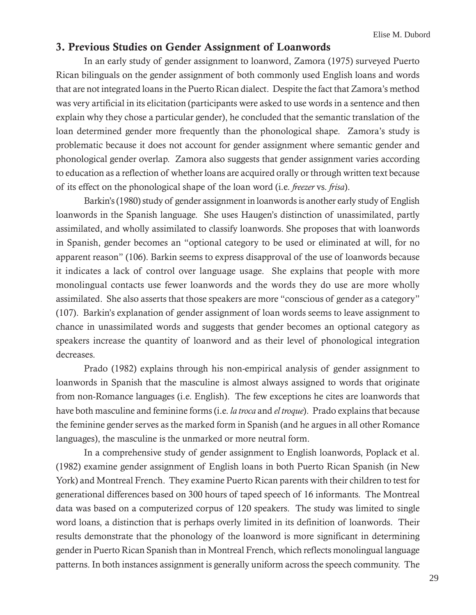# **3. Previous Studies on Gender Assignment of Loanwords**

In an early study of gender assignment to loanword, Zamora (1975) surveyed Puerto Rican bilinguals on the gender assignment of both commonly used English loans and words that are not integrated loans in the Puerto Rican dialect. Despite the fact that Zamora's method was very artificial in its elicitation (participants were asked to use words in a sentence and then explain why they chose a particular gender), he concluded that the semantic translation of the loan determined gender more frequently than the phonological shape. Zamora's study is problematic because it does not account for gender assignment where semantic gender and phonological gender overlap. Zamora also suggests that gender assignment varies according to education as a reflection of whether loans are acquired orally or through written text because of its effect on the phonological shape of the loan word (i.e. *freezer* vs. *frisa*).

Barkin's (1980) study of gender assignment in loanwords is another early study of English loanwords in the Spanish language. She uses Haugen's distinction of unassimilated, partly assimilated, and wholly assimilated to classify loanwords. She proposes that with loanwords in Spanish, gender becomes an "optional category to be used or eliminated at will, for no apparent reason" (106). Barkin seems to express disapproval of the use of loanwords because it indicates a lack of control over language usage. She explains that people with more monolingual contacts use fewer loanwords and the words they do use are more wholly assimilated. She also asserts that those speakers are more "conscious of gender as a category" (107). Barkin's explanation of gender assignment of loan words seems to leave assignment to chance in unassimilated words and suggests that gender becomes an optional category as speakers increase the quantity of loanword and as their level of phonological integration decreases.

Prado (1982) explains through his non-empirical analysis of gender assignment to loanwords in Spanish that the masculine is almost always assigned to words that originate from non-Romance languages (i.e. English). The few exceptions he cites are loanwords that have both masculine and feminine forms (i.e. *la troca* and *el troque*). Prado explains that because the feminine gender serves as the marked form in Spanish (and he argues in all other Romance languages), the masculine is the unmarked or more neutral form.

In a comprehensive study of gender assignment to English loanwords, Poplack et al. (1982) examine gender assignment of English loans in both Puerto Rican Spanish (in New York) and Montreal French. They examine Puerto Rican parents with their children to test for generational differences based on 300 hours of taped speech of 16 informants. The Montreal data was based on a computerized corpus of 120 speakers. The study was limited to single word loans, a distinction that is perhaps overly limited in its definition of loanwords. Their results demonstrate that the phonology of the loanword is more significant in determining gender in Puerto Rican Spanish than in Montreal French, which reflects monolingual language patterns. In both instances assignment is generally uniform across the speech community. The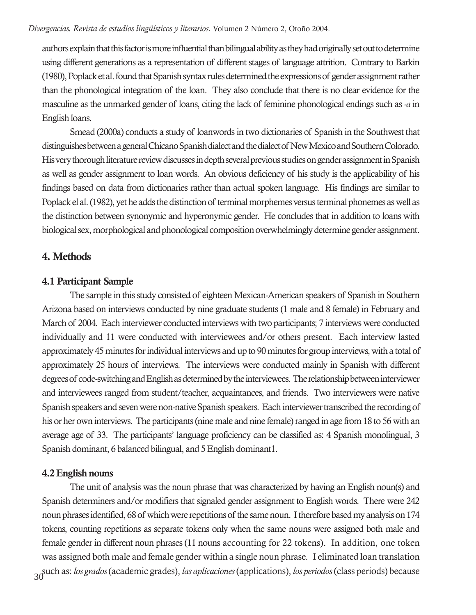authors explain that this factor is more influential than bilingual ability as they had originally set out to determine using different generations as a representation of different stages of language attrition. Contrary to Barkin (1980), Poplack et al. found that Spanish syntax rules determined the expressions of gender assignment rather than the phonological integration of the loan. They also conclude that there is no clear evidence for the masculine as the unmarked gender of loans, citing the lack of feminine phonological endings such as *-a* in English loans.

Smead (2000a) conducts a study of loanwords in two dictionaries of Spanish in the Southwest that distinguishes between a general Chicano Spanish dialect and the dialect of New Mexico and Southern Colorado. His very thorough literature review discusses in depth several previous studies on gender assignment in Spanish as well as gender assignment to loan words. An obvious deficiency of his study is the applicability of his findings based on data from dictionaries rather than actual spoken language. His findings are similar to Poplack el al. (1982), yet he adds the distinction of terminal morphemes versus terminal phonemes as well as the distinction between synonymic and hyperonymic gender. He concludes that in addition to loans with biological sex, morphological and phonological composition overwhelmingly determine gender assignment.

## **4. Methods**

### **4.1 Participant Sample**

The sample in this study consisted of eighteen Mexican-American speakers of Spanish in Southern Arizona based on interviews conducted by nine graduate students (1 male and 8 female) in February and March of 2004. Each interviewer conducted interviews with two participants; 7 interviews were conducted individually and 11 were conducted with interviewees and/or others present. Each interview lasted approximately 45 minutes for individual interviews and up to 90 minutes for group interviews, with a total of approximately 25 hours of interviews. The interviews were conducted mainly in Spanish with different degrees of code-switching and English as determined by the interviewees. The relationship between interviewer and interviewees ranged from student/teacher, acquaintances, and friends. Two interviewers were native Spanish speakers and seven were non-native Spanish speakers. Each interviewer transcribed the recording of his or her own interviews. The participants (nine male and nine female) ranged in age from 18 to 56 with an average age of 33. The participants' language proficiency can be classified as: 4 Spanish monolingual, 3 Spanish dominant, 6 balanced bilingual, and 5 English dominant1.

### **4.2 English nouns**

30 The unit of analysis was the noun phrase that was characterized by having an English noun(s) and Spanish determiners and/or modifiers that signaled gender assignment to English words. There were 242 noun phrases identified, 68 of which were repetitions of the same noun. I therefore based my analysis on 174 tokens, counting repetitions as separate tokens only when the same nouns were assigned both male and female gender in different noun phrases (11 nouns accounting for 22 tokens). In addition, one token was assigned both male and female gender within a single noun phrase. I eliminated loan translation such as: *los grados* (academic grades), *las aplicaciones* (applications), *los periodos* (class periods) because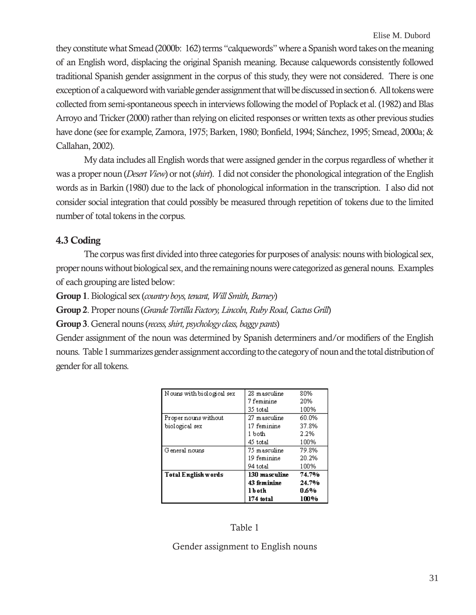they constitute what Smead (2000b: 162) terms "calquewords" where a Spanish word takes on the meaning of an English word, displacing the original Spanish meaning. Because calquewords consistently followed traditional Spanish gender assignment in the corpus of this study, they were not considered. There is one exception of a calqueword with variable gender assignment that will be discussed in section 6. All tokens were collected from semi-spontaneous speech in interviews following the model of Poplack et al. (1982) and Blas Arroyo and Tricker (2000) rather than relying on elicited responses or written texts as other previous studies have done (see for example, Zamora, 1975; Barken, 1980; Bonfield, 1994; Sánchez, 1995; Smead, 2000a; & Callahan, 2002).

My data includes all English words that were assigned gender in the corpus regardless of whether it was a proper noun (*Desert View*) or not (*shirt*). I did not consider the phonological integration of the English words as in Barkin (1980) due to the lack of phonological information in the transcription. I also did not consider social integration that could possibly be measured through repetition of tokens due to the limited number of total tokens in the corpus.

## **4.3 Coding**

The corpus was first divided into three categories for purposes of analysis: nouns with biological sex, proper nouns without biological sex, and the remaining nouns were categorized as general nouns. Examples of each grouping are listed below:

**Group 1**. Biological sex (*country boys, tenant, Will Smith, Barney*)

**Group 2**. Proper nouns (*Grande Tortilla Factory, Lincoln, Ruby Road, Cactus Grill*)

**Group 3**. General nouns (*recess, shirt, psychology class, baggy pants*)

Gender assignment of the noun was determined by Spanish determiners and/or modifiers of the English nouns. Table 1 summarizes gender assignment according to the category of noun and the total distribution of gender for all tokens.

| Nouns with biological sex  | 28 masculine  | 80%   |
|----------------------------|---------------|-------|
|                            | 7 feminine    | 20%   |
|                            | 35 total      | 100%  |
| Proper nouns without       | 27 masculine  | 60.0% |
| biological sex             | 17 feminine   | 37.8% |
|                            | 1 both        | 2.2%  |
|                            | 45 total      | 100%  |
| G eneral nouns             | 75 masculine  | 79.8% |
|                            | 19 feminine   | 20.2% |
|                            | 94 total      | 100%  |
| <b>Total English words</b> | 130 masculine | 74.7% |
|                            | 43 feminine   | 24.7% |
|                            | l b oth       | 0.6%  |
|                            | 174 total     | 100%  |

#### Table 1

### Gender assignment to English nouns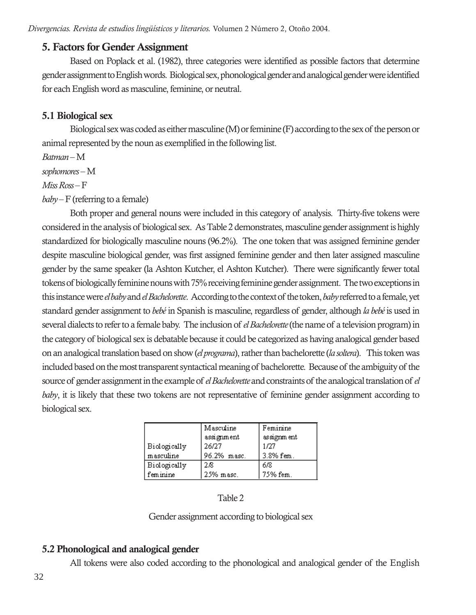## **5. Factors for Gender Assignment**

Based on Poplack et al. (1982), three categories were identified as possible factors that determine gender assignment to English words. Biological sex, phonological gender and analogical gender were identified for each English word as masculine, feminine, or neutral.

# **5.1 Biological sex**

Biological sex was coded as either masculine (M) or feminine (F) according to the sex of the person or animal represented by the noun as exemplified in the following list.

*Batman* – M

*sophomores* – M

## *Miss Ross* – F

*baby* – F (referring to a female)

Both proper and general nouns were included in this category of analysis. Thirty-five tokens were considered in the analysis of biological sex. As Table 2 demonstrates, masculine gender assignment is highly standardized for biologically masculine nouns (96.2%). The one token that was assigned feminine gender despite masculine biological gender, was first assigned feminine gender and then later assigned masculine gender by the same speaker (la Ashton Kutcher, el Ashton Kutcher). There were significantly fewer total tokens of biologically feminine nouns with 75% receiving feminine gender assignment. The two exceptions in this instance were *el baby* and *el Bachelorette*. According to the context of the token, *baby* referred to a female, yet standard gender assignment to *bebé* in Spanish is masculine, regardless of gender, although *la bebé* is used in several dialects to refer to a female baby. The inclusion of *el Bachelorette* (the name of a television program) in the category of biological sex is debatable because it could be categorized as having analogical gender based on an analogical translation based on show (*el programa*), rather than bachelorette (*la soltera*). This token was included based on the most transparent syntactical meaning of bachelorette. Because of the ambiguity of the source of gender assignment in the example of *el Bachelorette* and constraints of the analogical translation of *el baby*, it is likely that these two tokens are not representative of feminine gender assignment according to biological sex.

|                     | Masculine   | Feminine   |
|---------------------|-------------|------------|
|                     | assignment  | assignment |
|                     |             |            |
| <b>Biologically</b> | 26/27       | 1/27       |
| masculine           | 96.2% masc. | 3.8% fem.  |
| <b>Biologically</b> | 28          | 6/8        |
| feminine            | 25% masc.   | 75% fem.   |

Table 2

Gender assignment according to biological sex

# **5.2 Phonological and analogical gender**

All tokens were also coded according to the phonological and analogical gender of the English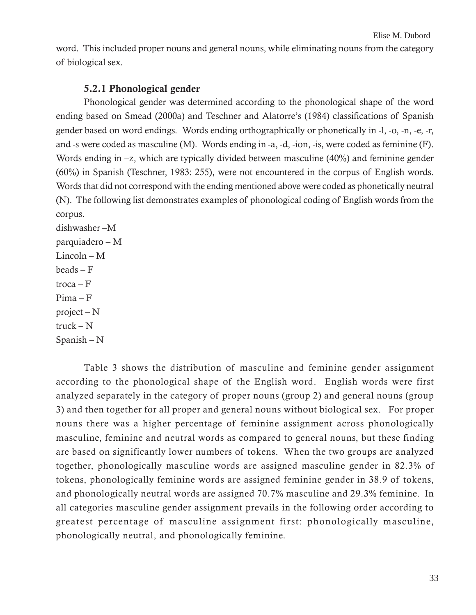word. This included proper nouns and general nouns, while eliminating nouns from the category of biological sex.

#### **5.2.1 Phonological gender**

Phonological gender was determined according to the phonological shape of the word ending based on Smead (2000a) and Teschner and Alatorre's (1984) classifications of Spanish gender based on word endings. Words ending orthographically or phonetically in -l, -o, -n, -e, -r, and -s were coded as masculine (M). Words ending in -a, -d, -ion, -is, were coded as feminine (F). Words ending in  $-z$ , which are typically divided between masculine (40%) and feminine gender (60%) in Spanish (Teschner, 1983: 255), were not encountered in the corpus of English words. Words that did not correspond with the ending mentioned above were coded as phonetically neutral (N). The following list demonstrates examples of phonological coding of English words from the corpus.

dishwasher –M parquiadero – M Lincoln – M  $beads - F$ troca – F Pima – F project – N  $\text{truck} - \text{N}$ Spanish – N

Table 3 shows the distribution of masculine and feminine gender assignment according to the phonological shape of the English word. English words were first analyzed separately in the category of proper nouns (group 2) and general nouns (group 3) and then together for all proper and general nouns without biological sex. For proper nouns there was a higher percentage of feminine assignment across phonologically masculine, feminine and neutral words as compared to general nouns, but these finding are based on significantly lower numbers of tokens. When the two groups are analyzed together, phonologically masculine words are assigned masculine gender in 82.3% of tokens, phonologically feminine words are assigned feminine gender in 38.9 of tokens, and phonologically neutral words are assigned 70.7% masculine and 29.3% feminine. In all categories masculine gender assignment prevails in the following order according to greatest percentage of masculine assignment first: phonologically masculine, phonologically neutral, and phonologically feminine.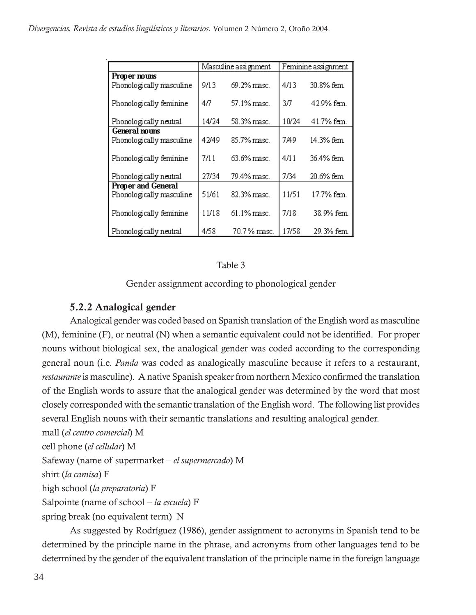|                                                       | Masculine assignment |             | Feminine assignment |            |
|-------------------------------------------------------|----------------------|-------------|---------------------|------------|
| Proper nouns<br>Phonologically masculine              | 9/13                 | 69.2% masc. | 4/13                | 30.8% fem  |
| Phonologically feminine                               | 4Л                   | 57.1% masc. | 3Л                  | 42.9% fem. |
| Phonologically neutral                                | 14/24                | 58.3% masc. | 10/24               | 41.7% fem. |
| General nouns<br>Phonologically masculine             | 42/49                | 85.7% masc. | 7/49                | 14.3% fem  |
| Phonologically feminine                               | 7/11                 | 63.6% masc. | 4/11                | 36.4% fem  |
| Phonologically neutral                                | 27/34                | 79.4% masc. | 7/34                | 20.6% fem  |
| <b>Proper and General</b><br>Phonologically masculine | 51/61                | 82.3% masc. | 11/51               | 17.7% fem. |
| Phonologically feminine                               | 11/18                | 61.1% masc. | 7/18                | 38.9% fem  |
| Phonologically neutral                                | 4/58                 | 70.7% masc. | 17/58               | 29.3% fem  |

#### Table 3

Gender assignment according to phonological gender

## **5.2.2 Analogical gender**

Analogical gender was coded based on Spanish translation of the English word as masculine (M), feminine (F), or neutral (N) when a semantic equivalent could not be identified. For proper nouns without biological sex, the analogical gender was coded according to the corresponding general noun (i.e. *Panda* was coded as analogically masculine because it refers to a restaurant, *restaurante* is masculine). A native Spanish speaker from northern Mexico confirmed the translation of the English words to assure that the analogical gender was determined by the word that most closely corresponded with the semantic translation of the English word. The following list provides several English nouns with their semantic translations and resulting analogical gender.

mall (*el centro comercial*) M

cell phone (*el cellular*) M

Safeway (name of supermarket – *el supermercado*) M

shirt (*la camisa*) F

high school (*la preparatoria*) F

Salpointe (name of school – *la escuela*) F

spring break (no equivalent term) N

As suggested by Rodríguez (1986), gender assignment to acronyms in Spanish tend to be determined by the principle name in the phrase, and acronyms from other languages tend to be determined by the gender of the equivalent translation of the principle name in the foreign language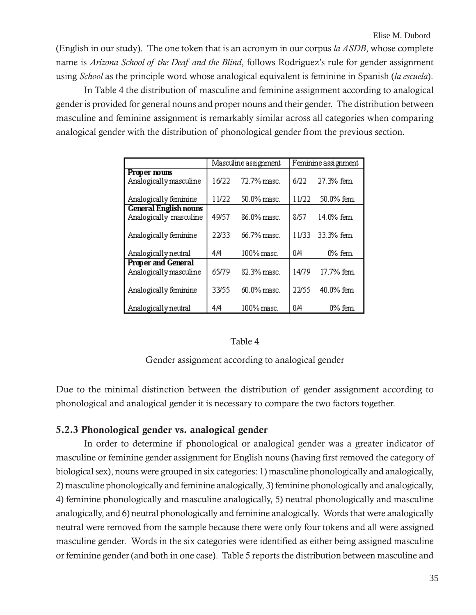(English in our study). The one token that is an acronym in our corpus *la ASDB*, whose complete name is *Arizona School of the Deaf and the Blind*, follows Rodríguez's rule for gender assignment using *School* as the principle word whose analogical equivalent is feminine in Spanish (*la escuela*).

In Table 4 the distribution of masculine and feminine assignment according to analogical gender is provided for general nouns and proper nouns and their gender. The distribution between masculine and feminine assignment is remarkably similar across all categories when comparing analogical gender with the distribution of phonological gender from the previous section.

|                                                        | Masculine assignment |             | Feminine assignment |           |
|--------------------------------------------------------|----------------------|-------------|---------------------|-----------|
| Proper nouns<br>Analogically masculine                 | 16/22                | 72.7% masc. | 6/22                | 27.3% fem |
| Analogically feminine                                  | 11/22                | 50.0% masc. | 11/22               | 50.0% fem |
| <b>General English nours</b><br>Analogically masculine | 49/57                | 86.0% masc. | 8/57                | 14.0% fem |
| Analogically feminine                                  | 22/33                | 66.7% masc. | 11/33               | 33.3% fem |
| Analogically neutral                                   | 4/4                  | 100% masc.  | 0/4                 | 0% fem    |
| <b>Proper and General</b><br>Analogically masculine    | 65/79                | 82.3% masc. | 14/79               | 17.7% fem |
| Analogically feminine                                  | 33/55                | 60.0% masc. | 22/55               | 40.0% fem |
| Analogically neutral                                   | 4/4                  | 100% masc.  | 0/4                 | 0% fem    |

#### Table 4

Gender assignment according to analogical gender

Due to the minimal distinction between the distribution of gender assignment according to phonological and analogical gender it is necessary to compare the two factors together.

#### **5.2.3 Phonological gender vs. analogical gender**

In order to determine if phonological or analogical gender was a greater indicator of masculine or feminine gender assignment for English nouns (having first removed the category of biological sex), nouns were grouped in six categories: 1) masculine phonologically and analogically, 2) masculine phonologically and feminine analogically, 3) feminine phonologically and analogically, 4) feminine phonologically and masculine analogically, 5) neutral phonologically and masculine analogically, and 6) neutral phonologically and feminine analogically. Words that were analogically neutral were removed from the sample because there were only four tokens and all were assigned masculine gender. Words in the six categories were identified as either being assigned masculine or feminine gender (and both in one case). Table 5 reports the distribution between masculine and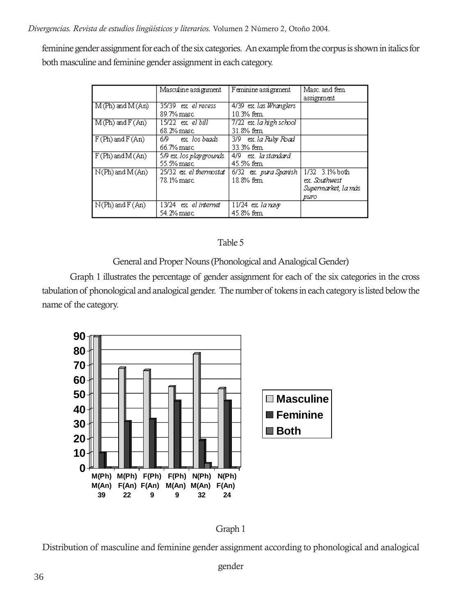*Divergencias. Revista de estudios lingüísticos y literarios.* Volumen 2 Número 2, Otoño 2004.

feminine gender assignment for each of the six categories. An example from the corpus is shown in italics for both masculine and feminine gender assignment in each category.

|                     | Masculine assignment                   | Feminine assignment                  | Masc, and fem.<br>assignment                                   |
|---------------------|----------------------------------------|--------------------------------------|----------------------------------------------------------------|
| $M(Ph)$ and $M(An)$ | 35/39 ex el recess<br>89.7% masc       | 4/39 ex. las Wranglers<br>10.3% fem. |                                                                |
| $M(Ph)$ and $F(An)$ | 15/22 ex el bill<br>68.2% masc         | 7/22 ex. la high school<br>31.8% fem |                                                                |
| $F(Ph)$ and $F(An)$ | 6/9 ex los beads<br>66.7% masc.        | 3/9 ex. la Ruby Road<br>33.3% fem    |                                                                |
| $F(Ph)$ and $M(An)$ | 5/9 ex. los play grounds<br>55.5% masc | 4/9 ex. la standard<br>45.5% fem     |                                                                |
| $N(Ph)$ and $M(An)$ | 25/32 ex. el thermostat<br>78.1% masc  | 6/32 ex. pura Spanish<br>18.8% fem.  | 1/32 3.1% both<br>ex. Southwest<br>Supermarket, la más<br>puro |
| $N(Ph)$ and $F(An)$ | 13/24 ex el internet<br>54.2% masc.    | 11/24 ex la navy<br>45.8% fem        |                                                                |

### Table 5

General and Proper Nouns (Phonological and Analogical Gender)

Graph 1 illustrates the percentage of gender assignment for each of the six categories in the cross tabulation of phonological and analogical gender. The number of tokens in each category is listed below the name of the category.





Distribution of masculine and feminine gender assignment according to phonological and analogical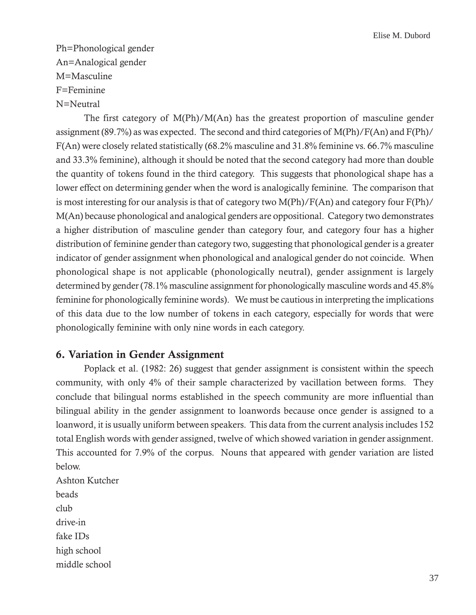Ph=Phonological gender An=Analogical gender M=Masculine F=Feminine N=Neutral

The first category of M(Ph)/M(An) has the greatest proportion of masculine gender assignment (89.7%) as was expected. The second and third categories of M(Ph)/F(An) and F(Ph)/ F(An) were closely related statistically (68.2% masculine and 31.8% feminine vs. 66.7% masculine and 33.3% feminine), although it should be noted that the second category had more than double the quantity of tokens found in the third category. This suggests that phonological shape has a lower effect on determining gender when the word is analogically feminine. The comparison that is most interesting for our analysis is that of category two M(Ph)/F(An) and category four F(Ph)/ M(An) because phonological and analogical genders are oppositional. Category two demonstrates a higher distribution of masculine gender than category four, and category four has a higher distribution of feminine gender than category two, suggesting that phonological gender is a greater indicator of gender assignment when phonological and analogical gender do not coincide. When phonological shape is not applicable (phonologically neutral), gender assignment is largely determined by gender (78.1% masculine assignment for phonologically masculine words and 45.8% feminine for phonologically feminine words). We must be cautious in interpreting the implications of this data due to the low number of tokens in each category, especially for words that were phonologically feminine with only nine words in each category.

# **6. Variation in Gender Assignment**

Poplack et al. (1982: 26) suggest that gender assignment is consistent within the speech community, with only 4% of their sample characterized by vacillation between forms. They conclude that bilingual norms established in the speech community are more influential than bilingual ability in the gender assignment to loanwords because once gender is assigned to a loanword, it is usually uniform between speakers. This data from the current analysis includes 152 total English words with gender assigned, twelve of which showed variation in gender assignment. This accounted for 7.9% of the corpus. Nouns that appeared with gender variation are listed below.

Ashton Kutcher beads club drive-in fake IDs high school middle school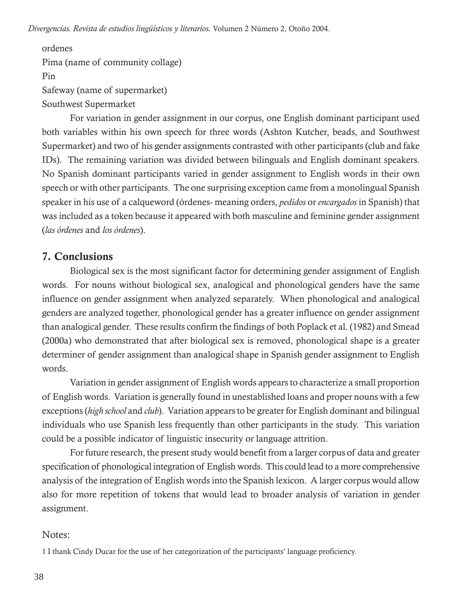*Divergencias. Revista de estudios lingüísticos y literarios.* Volumen 2 Número 2, Otoño 2004.

ordenes Pima (name of community collage) Pin Safeway (name of supermarket) Southwest Supermarket

For variation in gender assignment in our corpus, one English dominant participant used both variables within his own speech for three words (Ashton Kutcher, beads, and Southwest Supermarket) and two of his gender assignments contrasted with other participants (club and fake IDs). The remaining variation was divided between bilinguals and English dominant speakers. No Spanish dominant participants varied in gender assignment to English words in their own speech or with other participants. The one surprising exception came from a monolingual Spanish speaker in his use of a calqueword (órdenes- meaning orders, *pedidos* or *encargados* in Spanish) that was included as a token because it appeared with both masculine and feminine gender assignment (*las órdenes* and *los órdenes*).

# **7. Conclusions**

Biological sex is the most significant factor for determining gender assignment of English words. For nouns without biological sex, analogical and phonological genders have the same influence on gender assignment when analyzed separately. When phonological and analogical genders are analyzed together, phonological gender has a greater influence on gender assignment than analogical gender. These results confirm the findings of both Poplack et al. (1982) and Smead (2000a) who demonstrated that after biological sex is removed, phonological shape is a greater determiner of gender assignment than analogical shape in Spanish gender assignment to English words.

Variation in gender assignment of English words appears to characterize a small proportion of English words. Variation is generally found in unestablished loans and proper nouns with a few exceptions (*high school* and *club*). Variation appears to be greater for English dominant and bilingual individuals who use Spanish less frequently than other participants in the study. This variation could be a possible indicator of linguistic insecurity or language attrition.

For future research, the present study would benefit from a larger corpus of data and greater specification of phonological integration of English words. This could lead to a more comprehensive analysis of the integration of English words into the Spanish lexicon. A larger corpus would allow also for more repetition of tokens that would lead to broader analysis of variation in gender assignment.

## Notes:

1 I thank Cindy Ducar for the use of her categorization of the participants' language proficiency.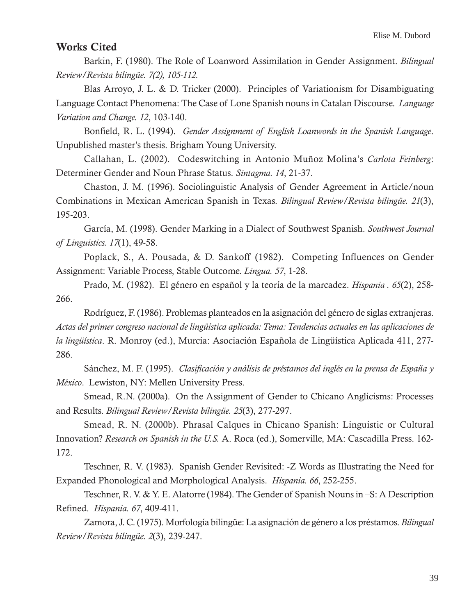## **Works Cited**

Barkin, F. (1980). The Role of Loanword Assimilation in Gender Assignment. *Bilingual Review/Revista bilingüe. 7(2), 105-112.*

Blas Arroyo, J. L. & D. Tricker (2000). Principles of Variationism for Disambiguating Language Contact Phenomena: The Case of Lone Spanish nouns in Catalan Discourse. *Language Variation and Change. 12*, 103-140.

Bonfield, R. L. (1994). *Gender Assignment of English Loanwords in the Spanish Language*. Unpublished master's thesis. Brigham Young University.

Callahan, L. (2002). Codeswitching in Antonio Muñoz Molina's *Carlota Feinberg*: Determiner Gender and Noun Phrase Status. *Sintagma. 14*, 21-37.

Chaston, J. M. (1996). Sociolinguistic Analysis of Gender Agreement in Article/noun Combinations in Mexican American Spanish in Texas. *Bilingual Review/Revista bilingüe. 21*(3), 195-203.

García, M. (1998). Gender Marking in a Dialect of Southwest Spanish. *Southwest Journal of Linguistics. 17*(1), 49-58.

Poplack, S., A. Pousada, & D. Sankoff (1982). Competing Influences on Gender Assignment: Variable Process, Stable Outcome. *Lingua. 57*, 1-28.

Prado, M. (1982). El género en español y la teoría de la marcadez. *Hispania . 65*(2), 258- 266.

Rodríguez, F. (1986). Problemas planteados en la asignación del género de siglas extranjeras. *Actas del primer congreso nacional de lingüística aplicada: Tema: Tendencias actuales en las aplicaciones de la lingüística*. R. Monroy (ed.), Murcia: Asociación Española de Lingüística Aplicada 411, 277- 286.

Sánchez, M. F. (1995). *Clasificación y análisis de préstamos del inglés en la prensa de España y México*. Lewiston, NY: Mellen University Press.

Smead, R.N. (2000a). On the Assignment of Gender to Chicano Anglicisms: Processes and Results. *Bilingual Review/Revista bilingüe. 25*(3), 277-297.

Smead, R. N. (2000b). Phrasal Calques in Chicano Spanish: Linguistic or Cultural Innovation? *Research on Spanish in the U.S.* A. Roca (ed.), Somerville, MA: Cascadilla Press. 162- 172.

Teschner, R. V. (1983). Spanish Gender Revisited: -Z Words as Illustrating the Need for Expanded Phonological and Morphological Analysis. *Hispania. 66*, 252-255.

Teschner, R. V. & Y. E. Alatorre (1984). The Gender of Spanish Nouns in –S: A Description Refined. *Hispania. 67*, 409-411.

Zamora, J. C. (1975). Morfología bilingüe: La asignación de género a los préstamos. *Bilingual Review/Revista bilingüe. 2*(3), 239-247.